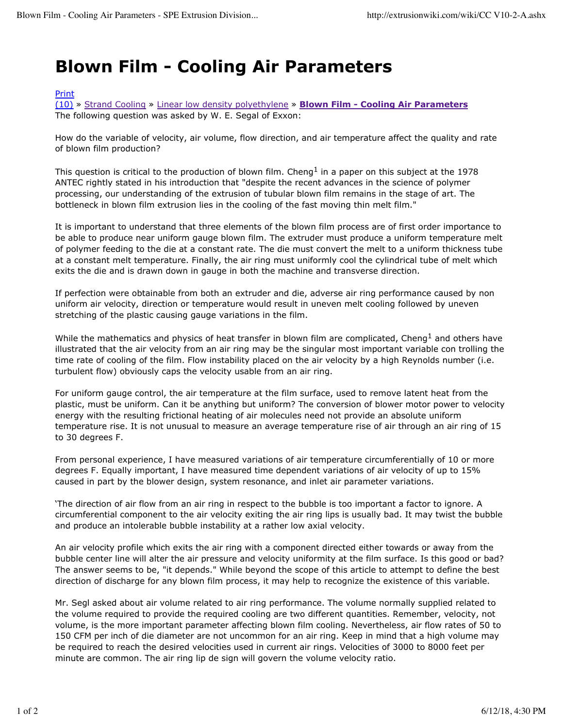## **Blown Film - Cooling Air Parameters**

## Print

(10) » Strand Cooling » Linear low density polyethylene » **Blown Film - Cooling Air Parameters** The following question was asked by W. E. Segal of Exxon:

How do the variable of velocity, air volume, flow direction, and air temperature affect the quality and rate of blown film production?

This question is critical to the production of blown film. Cheng<sup>1</sup> in a paper on this subject at the 1978 ANTEC rightly stated in his introduction that "despite the recent advances in the science of polymer processing, our understanding of the extrusion of tubular blown film remains in the stage of art. The bottleneck in blown film extrusion lies in the cooling of the fast moving thin melt film."

It is important to understand that three elements of the blown film process are of first order importance to be able to produce near uniform gauge blown film. The extruder must produce a uniform temperature melt of polymer feeding to the die at a constant rate. The die must convert the melt to a uniform thickness tube at a constant melt temperature. Finally, the air ring must uniformly cool the cylindrical tube of melt which exits the die and is drawn down in gauge in both the machine and transverse direction.

If perfection were obtainable from both an extruder and die, adverse air ring performance caused by non uniform air velocity, direction or temperature would result in uneven melt cooling followed by uneven stretching of the plastic causing gauge variations in the film.

While the mathematics and physics of heat transfer in blown film are complicated, Cheng<sup>1</sup> and others have illustrated that the air velocity from an air ring may be the singular most important variable con trolling the time rate of cooling of the film. Flow instability placed on the air velocity by a high Reynolds number (i.e. turbulent flow) obviously caps the velocity usable from an air ring.

For uniform gauge control, the air temperature at the film surface, used to remove latent heat from the plastic, must be uniform. Can it be anything but uniform? The conversion of blower motor power to velocity energy with the resulting frictional heating of air molecules need not provide an absolute uniform temperature rise. It is not unusual to measure an average temperature rise of air through an air ring of 15 to 30 degrees F.

From personal experience, I have measured variations of air temperature circumferentially of 10 or more degrees F. Equally important, I have measured time dependent variations of air velocity of up to 15% caused in part by the blower design, system resonance, and inlet air parameter variations.

'The direction of air flow from an air ring in respect to the bubble is too important a factor to ignore. A circumferential component to the air velocity exiting the air ring lips is usually bad. It may twist the bubble and produce an intolerable bubble instability at a rather low axial velocity.

An air velocity profile which exits the air ring with a component directed either towards or away from the bubble center line will alter the air pressure and velocity uniformity at the film surface. Is this good or bad? The answer seems to be, "it depends." While beyond the scope of this article to attempt to define the best direction of discharge for any blown film process, it may help to recognize the existence of this variable.

Mr. Segl asked about air volume related to air ring performance. The volume normally supplied related to the volume required to provide the required cooling are two different quantities. Remember, velocity, not volume, is the more important parameter affecting blown film cooling. Nevertheless, air flow rates of 50 to 150 CFM per inch of die diameter are not uncommon for an air ring. Keep in mind that a high volume may be required to reach the desired velocities used in current air rings. Velocities of 3000 to 8000 feet per minute are common. The air ring lip de sign will govern the volume velocity ratio.